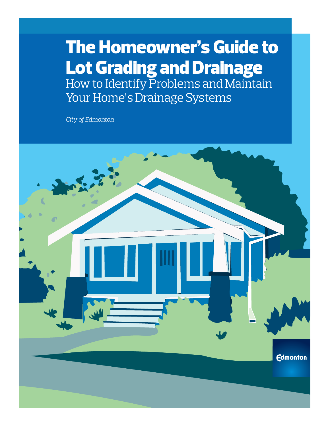# The Homeowner's Guide to Lot Grading and Drainage How to Identify Problems and Maintain Your Home's Drainage Systems

*City of Edmonton*

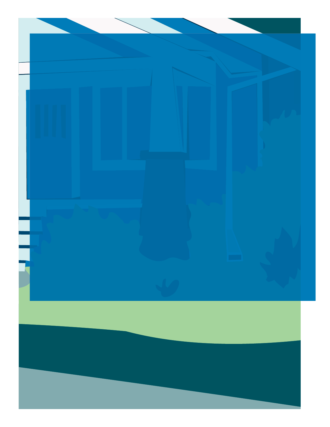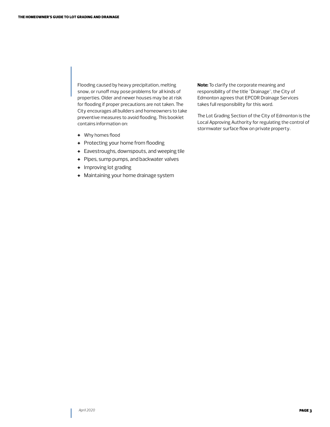Flooding caused by heavy precipitation, melting snow, or runoff may pose problems for all kinds of properties. Older and newer houses may be at risk for flooding if proper precautions are not taken. The City encourages all builders and homeowners to take preventive measures to avoid flooding. This booklet contains information on:

- + Why homes flood
- + Protecting your home from flooding
- + Eavestroughs, downspouts, and weeping tile
- + Pipes, sump pumps, and backwater valves
- + Improving lot grading
- + Maintaining your home drainage system

**Note:** To clarify the corporate meaning and responsibility of the title "Drainage", the City of Edmonton agrees that EPCOR Drainage Services takes full responsibility for this word.

The Lot Grading Section of the City of Edmonton is the Local Approving Authority for regulating the control of stormwater surface flow on private property.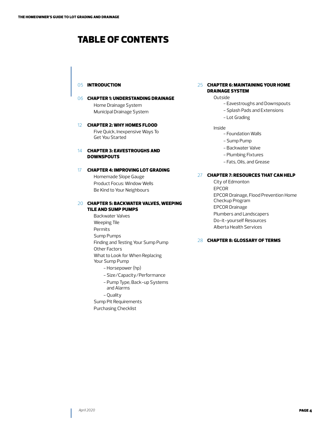# TABLE OF CONTENTS

### 05 INTRODUCTION

- 06 CHAPTER 1: UNDERSTANDING DRAINAGE Home Drainage System Municipal Drainage System
- 12 CHAPTER 2: WHY HOMES FLOOD Five Quick, Inexpensive Ways To Get You Started

#### 14 CHAPTER 3: EAVESTROUGHS AND **DOWNSPOUTS**

### 17 CHAPTER 4: IMPROVING LOT GRADING

Homemade Slope Gauge Product Focus: Window Wells Be Kind to Your Neighbours

#### 20 CHAPTER 5: BACKWATER VALVES, WEEPING TILE AND SUMP PUMPS

- Backwater Valves Weeping Tile Permits Sump Pumps Finding and Testing Your Sump Pump Other Factors What to Look for When Replacing Your Sump Pump
	- Horsepower (hp)
	- Size/Capacity/Performance
	- Pump Type, Back-up Systems and Alarms
	- Quality
- Sump Pit Requirements Purchasing Checklist

### 25 CHAPTER 6: MAINTAINING YOUR HOME DRAINAGE SYSTEM

#### Outside

- Eavestroughs and Downspouts
- Splash Pads and Extensions
- Lot Grading

#### Inside

- Foundation Walls
- Sump Pump
- Backwater Valve
- Plumbing Fixtures
- Fats, Oils, and Grease

### 27 CHAPTER 7: RESOURCES THAT CAN HELP

City of Edmonton EPCOR EPCOR Drainage, Flood Prevention Home Checkup Program EPCOR Drainage Plumbers and Landscapers Do-it-yourself Resources Alberta Health Services

### 28 CHAPTER 8: GLOSSARY OF TERMS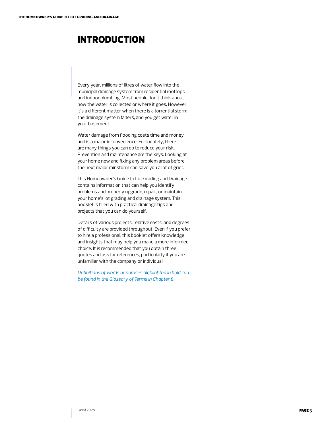### INTRODUCTION

Every year, millions of litres of water flow into the municipal drainage system from residential rooftops and indoor plumbing. Most people don't think about how the water is collected or where it goes. However, it's a different matter when there is a torrential storm, the drainage system falters, and you get water in your basement.

Water damage from flooding costs time and money and is a major inconvenience. Fortunately, there are many things you can do to reduce your risk. Prevention and maintenance are the keys. Looking at your home now and fixing any problem areas before the next major rainstorm can save you a lot of grief.

This Homeowner's Guide to Lot Grading and Drainage contains information that can help you identify problems and properly upgrade, repair, or maintain your home's lot grading and drainage system. This booklet is filled with practical drainage tips and projects that you can do yourself.

Details of various projects, relative costs, and degrees of difficulty are provided throughout. Even if you prefer to hire a professional, this booklet offers knowledge and insights that may help you make a more informed choice. It is recommended that you obtain three quotes and ask for references, particularly if you are unfamiliar with the company or individual.

*Definitions of words or phrases highlighted in bold can be found in the Glossary of Terms in Chapter 8.*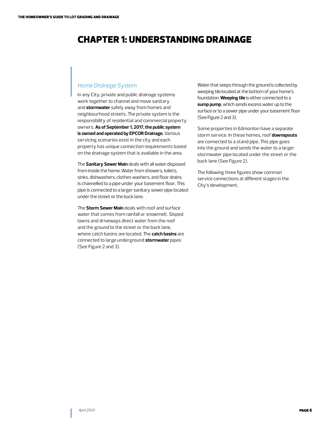# CHAPTER 1: UNDERSTANDING DRAINAGE

### *Home Drainage System*

In any City, private and public drainage systems work together to channel and move sanitary and **stormwater** safely away from homes and neighbourhood streets. The private system is the responsibility of residential and commercial property owners. **As of September 1, 2017, the public system is owned and operated by EPCOR Drainage.** Various servicing scenarios exist in the city and each property has unique connection requirements based on the drainage system that is available in the area.

The **Sanitary Sewer Main** deals with all water disposed from inside the home. Water from showers, toilets, sinks, dishwashers, clothes washers, and floor drains is channelled to a pipe under your basement floor. This pipe is connected to a larger sanitary sewer pipe located under the street or the back lane.

The **Storm Sewer Main** deals with roof and surface water that comes from rainfall or snowmelt. Sloped lawns and driveways direct water from the roof and the ground to the street or the back lane, where catch basins are located. The **catch basins** are connected to large underground **stormwater** pipes (See Figure 2 and 3).

Water that seeps through the ground is collected by weeping tile located at the bottom of your home's foundation. **Weeping tile** is either connected to a **sump pump**, which sends excess water up to the surface or to a sewer pipe under your basement floor (See Figure 2 and3).

Some properties in Edmonton have a separate storm service. In these homes, roof **downspouts** are connected to a stand pipe. This pipe goes into the ground and sends the water to a larger stormwater pipe located under the street or the back lane (See Figure 2).

The following three figures show common service connections at different stages in the City's development.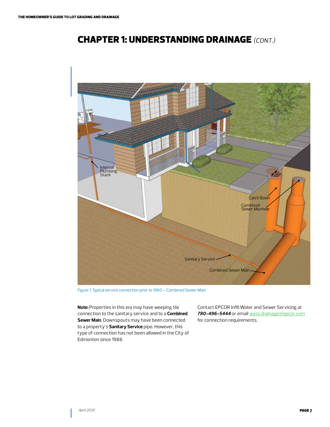

Figure 1: Typical service connection prior to 1960 – Combined Sewer Main

**Note:** Properties in this era may have weeping tile connection to the sanitary service and to a **Combined Sewer Main**. Downspouts may have been connected to a property's **Sanitary Service** pipe. However, this type of connection has not been allowed in the City of Edmonton since 1988.

Contact EPCOR Infill Water and Sewer Servicing at *780-496-5444* or email [wass.drainage@epcor.com](mailto:wass.drainage@epcor.com) for connection requirements.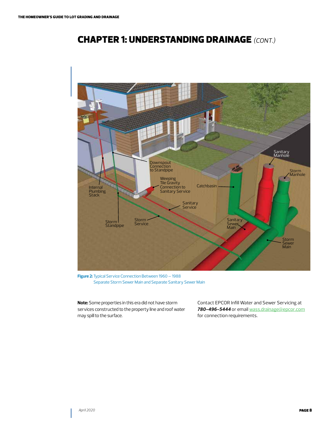

**Figure 2:** Typical Service Connection Between 1960 – 1988 Separate Storm Sewer Main and Separate Sanitary Sewer Main

**Note:** Some properties in this era did not have storm services constructed to the property line and roof water may spill to the surface.

Contact EPCOR Infill Water and Sewer Servicing at *780-496-5444* or email [wass.drainage@epcor.com](mailto:wass.drainage@epcor.com) for connection requirements.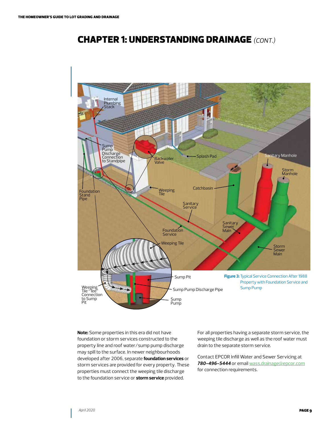

**Note:** Some properties in this era did not have foundation or storm services constructed to the property line and roof water/sump pump discharge may spill to the surface. In newer neighbourhoods developed after 2006, separate **foundation services** or storm services are provided for every property. These properties must connect the weeping tile discharge to the foundation service or **storm service** provided.

For all properties having a separate storm service, the weeping tile discharge as well as the roof water must drain to the separate storm service.

Contact EPCOR Infill Water and Sewer Servicing at *780-496-5444* or email [wass.drainage@epcor.com](mailto:wass.drainage@epcor.com) for connection requirements.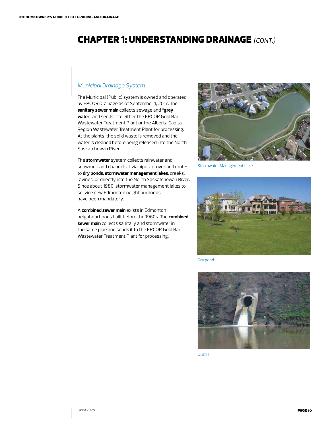### *Municipal Drainage System*

The Municipal (Public) system is owned and operated by EPCOR Drainage as of September 1, 2017. The **sanitary sewer main** collects sewage and "**grey water**" and sends it to either the EPCOR Gold Bar Wastewater Treatment Plant or the Alberta Capital Region Wastewater Treatment Plant for processing. At the plants, the solid waste is removed and the water is cleaned before being released into the North Saskatchewan River.

The **stormwater** system collects rainwater and snowmelt and channels it via pipes or overland routes to **dry ponds**, **stormwater management lakes**, creeks, ravines, or directly into the North Saskatchewan River. Since about 1980, stormwater management lakes to service new Edmonton neighbourhoods have been mandatory.

A **combined sewer main** exists in Edmonton neighbourhoods built before the 1960s. The **combined sewer main** collects sanitary and stormwater in the same pipe and sends it to the EPCOR Gold Bar Wastewater Treatment Plant for processing.



Stormwater Management Lake



Dry pond



**Outfall**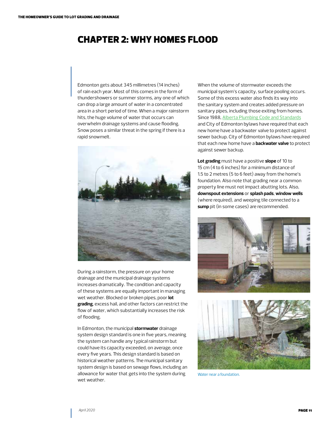# CHAPTER 2: WHY HOMES FLOOD

Edmonton gets about 345 millimetres (14 inches) of rain each year. Most of this comes in the form of thundershowers or summer storms, any one of which can drop a large amount of water in a concentrated area in a short period of time. When a major rainstorm hits, the huge volume of water that occurs can overwhelm drainage systems and cause flooding. Snow poses a similar threat in the spring if there is a rapid snowmelt.



During a rainstorm, the pressure on your home drainage and the municipal drainage systems increases dramatically. The condition and capacity of these systems are equally important in managing wet weather. Blocked or broken pipes, poor **lot grading**, excess hail, and other factors can restrict the flow of water, which substantially increases the risk of flooding.

In Edmonton, the municipal **stormwater** drainage system design standard is one in five years, meaning the system can handle any typical rainstorm but could have its capacity exceeded, on average, once every five years. This design standard is based on historical weather patterns. The municipal sanitary system design is based on sewage flows, including an allowance for water that gets into the system during wet weather.

When the volume of stormwater exceeds the municipal system's capacity, surface pooling occurs. Some of this excess water also finds its way into the sanitary system and creates added pressure on sanitary pipes, including those exiting from homes. Since 1988, **[Alberta Plumbing Code and Standards](https://www.alberta.ca/plumbing-code-and-standards.aspx)** and City of Edmonton bylaws have required that each new home have a backwater valve to protect against sewer backup. City of Edmonton bylaws have required that each new home have a **backwater valve** to protect against sewer backup.

**Lot grading** must have a positive **slope** of 10 to 15 cm (4 to 6 inches) for a minimum distance of 1.5 to 2 metres (5 to 6 feet) away from the home's foundation. Also note that grading near a common property line must not impact abutting lots. Also, **downspout extensions** or **splash pads**, **window wells** (where required), and weeping tile connected to a **sump** pit (in some cases) are recommended.





Water near a foundation.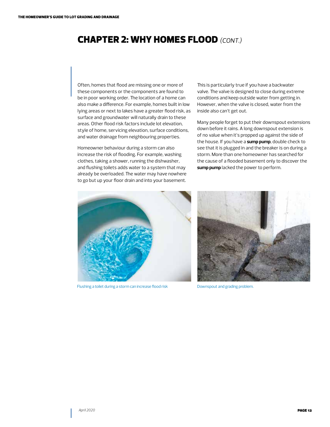### CHAPTER 2: WHY HOMES FLOOD *(CONT.)*

Often, homes that flood are missing one or more of these components or the components are found to be in poor working order. The location of a home can also make a difference. For example, homes built in low lying areas or next to lakes have a greater flood risk, as surface and groundwater will naturally drain to these areas. Other flood risk factors include lot elevation, style of home, servicing elevation, surface conditions, and water drainage from neighbouring properties.

Homeowner behaviour during a storm can also increase the risk of flooding. For example, washing clothes, taking a shower, running the dishwasher, and flushing toilets adds water to a system that may already be overloaded. The water may have nowhere to go but up your floor drain and into your basement.

This is particularly true if you have a backwater valve. The valve is designed to close during extreme conditions and keep outside water from getting in. However, when the valve is closed, water from the inside also can't get out.

Many people forget to put their downspout extensions down before it rains. A long downspout extension is of no value when it's propped up against the side of the house. If you have a **sump pump**, double check to see that it is plugged in and the breaker is on during a storm. More than one homeowner has searched for the cause of a flooded basement only to discover the **sump pump** lacked the power to perform.



Flushing a toilet during a storm can increase flood risk Downspout and grading problem.

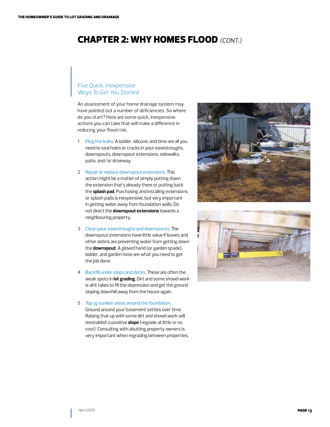# CHAPTER 2: WHY HOMES FLOOD *(CONT.)*

### *Five Quick, Inexpensive Ways To Get You Started*

An assessment of your home drainage system may have pointed out a number of deficiencies. So where do you start? Here are some quick, inexpensive actions you can take that will make a difference in reducing your flood risk.

- 1 Plug the leaks. A ladder, silicone, and time are all you need to seal holes or cracks in your eavestroughs, downspouts, downspout extensions, sidewalks, patio, and/or driveway.
- 2 Repair or replace downspout extensions. This action might be a matter of simply putting down the extension that's already there or putting back the **splash pad**. Purchasing and installing extensions or splash pads is inexpensive, but very important in getting water away from foundation walls. Do not direct the **downspout extensions** towards a neighbouring property.
- 3 Clean your eavestroughs and downspouts. The downspout extensions have little value if leaves and other debris are preventing water from getting down the **downspout**. A gloved hand (or garden spade), ladder, and garden hose are what you need to get the job done.
- 4 Backfill under steps and decks. These are often the weak spots in **lot grading**. Dirt and some shovel work is all it takes to fill the depression and get the ground sloping downhill away from the house again.
- 5 Top up sunken areas around the foundation. Ground around your basement settles over time. Raising that up with some dirt and shovel work will reestablish a positive **slope** (regrade at little or no cost). Consulting with abutting property owners is very important when regrading between properties.



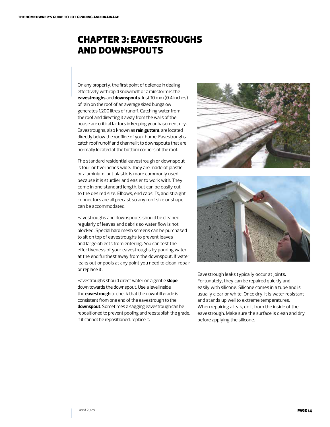# CHAPTER 3: EAVESTROUGHS AND DOWNSPOUTS

On any property, the first point of defence in dealing effectively with rapid snowmelt or a rainstorm is the **eavestroughs** and **downspouts**. Just 10 mm (0.4 inches) of rain on the roof of an average sized bungalow generates 1,200 litres of runoff. Catching water from the roof and directing it away from the walls of the house are critical factors in keeping your basement dry. Eavestroughs, also known as **rain gutters**, are located directly below the roofline of your home. Eavestroughs catch roof runoff and channel it to downspouts that are normally located at the bottom corners of the roof.

The standard residential eavestrough or downspout is four or five inches wide. They are made of plastic or aluminium, but plastic is more commonly used because it is sturdier and easier to work with. They come in one standard length, but can be easily cut to the desired size. Elbows, end caps, Ts, and straight connectors are all precast so any roof size or shape can be accommodated.

Eavestroughs and downspouts should be cleaned regularly of leaves and debris so water flow is not blocked. Special hard mesh screens can be purchased to sit on top of eavestroughs to prevent leaves and large objects from entering. You can test the effectiveness of your eavestroughs by pouring water at the end furthest away from the downspout. If water leaks out or pools at any point you need to clean, repair or replace it.

Eavestroughs should direct water on a gentle **slope** down towards the downspout. Use a level inside the **eavestrough** to check that the downhill grade is consistent from one end of the eavestrough to the **downspout**. Sometimes a sagging eavestroughcan be repositioned to prevent pooling and reestablish the grade. If it cannot be repositioned, replace it.





Eavestrough leaks typically occur at joints. Fortunately, they can be repaired quickly and easily with silicone. Silicone comes in a tube and is usually clear or white. Once dry, it is water resistant and stands up well to extreme temperatures. When repairing a leak, do it from the inside of the eavestrough. Make sure the surface is clean and dry before applying the silicone.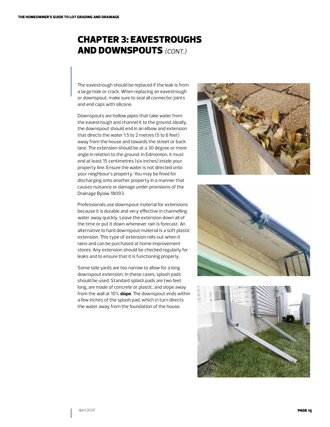# CHAPTER 3: EAVESTROUGHS AND DOWNSPOUTS *(CONT.)*

The eavestrough should be replaced if the leak is from a large hole or crack. When replacing an eavestrough or downspout, make sure to seal all connector joints and end caps with silicone.

Downspouts are hollow pipes that take water from the eavestrough and channel it to the ground. Ideally, the downspout should end in an elbow and extension that directs the water 1.5 to 2 metres (5 to 6 feet) away from the house and towards the street or back lane. The extension should be at a 30 degree or more angle in relation to the ground. In Edmonton, it must end at least 15 centimetres (six inches) inside your property line. Ensure the water is not directed onto your neighbour's property. You may be fined for discharging onto another property in a manner that causes nuisance or damage under provisions of the Drainage Bylaw 18093.

Professionals use downspout material for extensions because it is durable and very effective in channelling water away quickly. Leave the extension down all of the time or put it down whenever rain is forecast. An alternative to hard downspout material is a soft plastic extension. This type of extension rolls out when it rains and can be purchased at home improvement stores. Any extension should be checked regularly for leaks and to ensure that it is functioning properly.

Some side yards are too narrow to allow for a long downspout extension. In these cases, splash pads should be used. Standard splash pads are two feet long, are made of concrete or plastic, and slope away from the wall at 10% **slope**. The downspout ends within a few inches of the splash pad, which in turn directs the water away from the foundation of the house.





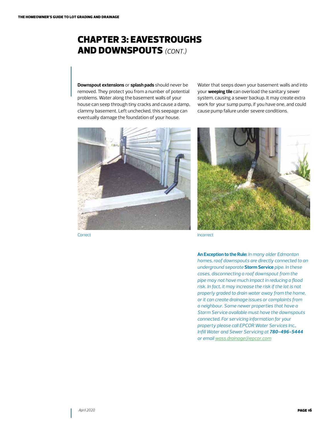# CHAPTER 3: EAVESTROUGHS AND DOWNSPOUTS *(CONT.)*

**Downspout extensions** or **splash pads** should never be removed. They protect you from a number of potential problems. Water along the basement walls of your house can seep through tiny cracks and cause a damp, clammy basement. Left unchecked, this seepage can eventually damage the foundation of your house.

Water that seeps down your basement walls and into your **weeping tile** can overload the sanitary sewer system, causing a sewer backup. It may create extra work for your sump pump, if you have one, and could cause pump failure under severe conditions.



**Correct Incorrect** 



**An Exception to the Rule:** *In many older Edmonton homes, roof downspouts are directly connected to an underground separate* **Storm Service** *pipe. In these cases, disconnecting a roof downspout from the pipe may not have much impact in reducing a flood risk. In fact, it may increase the risk if the lot is not properly graded to drain water away from the home, or it can create drainage issues or complaints from a neighbour. Some newer properties that have a Storm Service available must have the downspouts connected. For servicing information for your property please call EPCOR Water Services Inc., Infill Water and Sewer Servicing at 780-496-5444 or email [wass.drainage@epcor.com](mailto:wass.drainage%40epcor.com?subject=)*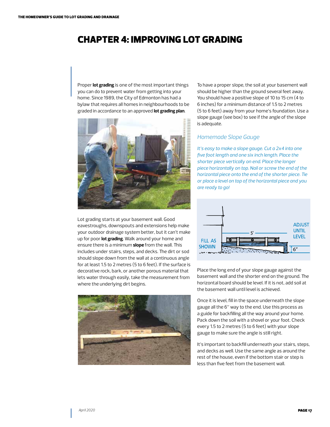# CHAPTER 4: IMPROVING LOT GRADING

Proper **lot grading** is one of the most important things you can do to prevent water from getting into your home. Since 1989, the City of Edmonton has had a bylaw that requires all homes in neighbourhoods to be graded in accordance to an approved **lot grading plan**.



Lot grading starts at your basement wall. Good eavestroughs, downspouts and extensions help make your outdoor drainage system better, but it can't make up for poor **lot grading**. Walk around your home and ensure there is a minimum **slope** from the wall. This includes under stairs, steps, and decks. The dirt or sod should slope down from the wall at a continuous angle for at least 1.5 to 2 metres (5 to 6 feet). If the surface is decorative rock, bark, or another porous material that lets water through easily, take the measurement from where the underlying dirt begins.



To have a proper slope, the soil at your basement wall should be higher than the ground several feet away. You should have a positive slope of 10 to 15 cm (4 to 6 inches) for a minimum distance of 1.5 to 2 metres (5 to 6 feet) away from your home's foundation. Use a slope gauge (see box) to see if the angle of the slope is adequate.

### *Homemade Slope Gauge*

*It's easy to make a slope gauge. Cut a 2x4 into one five foot length and one six inch length. Place the shorter piece vertically on end. Place the longer piece horizontally on top. Nail or screw the end of the horizontal piece onto the end of the shorter piece. Tie or place a level on top of the horizontal piece and you are ready to go!*



Place the long end of your slope gauge against the basement wall and the shorter end on the ground. The horizontal board should be level. If it is not, add soil at the basement wall until level is achieved.

Once it is level, fill in the space underneath the slope gauge all the 6" way to the end. Use this process as a guide for backfilling all the way around your home. Pack down the soil with a shovel or your foot. Check every 1.5 to 2 metres (5 to 6 feet) with your slope gauge to make sure the angle is still right.

It's important to backfill underneath your stairs, steps, and decks as well. Use the same angle as around the rest of the house, even if the bottom stair or step is less than five feet from the basement wall.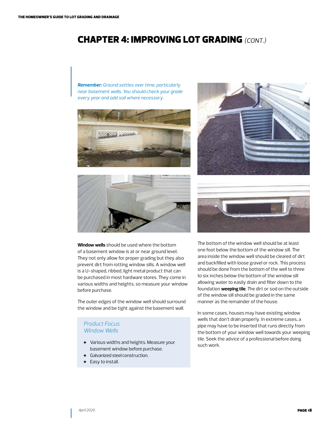# CHAPTER 4: IMPROVING LOT GRADING *(CONT.)*

*Remember: Ground settles over time, particularly near basement walls. You should check your grade every year and add soil where necessary.*





**Window wells** should be used where the bottom of a basement window is at or near ground level. They not only allow for proper grading but they also prevent dirt from rotting window sills. A window well is a U-shaped, ribbed, light metal product that can be purchased in most hardware stores. They come in various widths and heights, so measure your window before purchase.

The outer edges of the window well should surround the window and be tight against the basement wall.

### *Product Focus Window Wells*

- + Various widths and heights. Measure your basement window before purchase.
- Galvanized steel construction.
- + Easy to install.





The bottom of the window well should be at least one foot below the bottom of the window sill. The area inside the window well should be cleared of dirt and backfilled with loose gravel or rock. This process should be done from the bottom of the well to three to six inches below the bottom of the window sill allowing water to easily drain and filter down to the foundation **weeping tile**. The dirt or sod on the outside of the window sill should be graded in the same manner as the remainder of the house.

In some cases, houses may have existing window wells that don't drain properly. In extreme cases, a pipe may have to be inserted that runs directly from the bottom of your window well towards your weeping tile. Seek the advice of a professional before doing such work.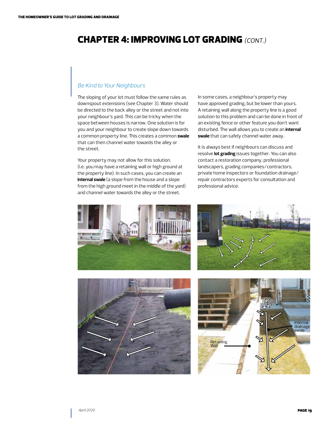# CHAPTER 4: IMPROVING LOT GRADING *(CONT.)*

### *Be Kind to Your Neighbours*

The sloping of your lot must follow the same rules as downspout extensions (see Chapter 3). Water should be directed to the back alley or the street and not into your neighbour's yard. This can be tricky when the space between houses is narrow. One solution is for you and your neighbour to create slope down towards a common property line. This creates a common **swale**  that can then channel water towards the alley or the street.

Your property may not allow for this solution. (i.e. you may have a retaining wall or high ground at the property line). In such cases, you can create an **internal swale** (a slope from the house and a slope from the high ground meet in the middle of the yard) and channel water towards the alley or the street.

In some cases, a neighbour's property may have approved grading, but be lower than yours. A retaining wall along the property line is a good solution to this problem and can be done in front of an existing fence or other feature you don't want disturbed. The wall allows you to create an **internal swale** that can safely channel water away.

It is always best if neighbours can discuss and resolve **lot grading** issues together. You can also contact a restoration company, professional landscapers, grading companies/contractors, private home inspectors or foundation drainage/ repair contractors experts for consultation and professional advice.







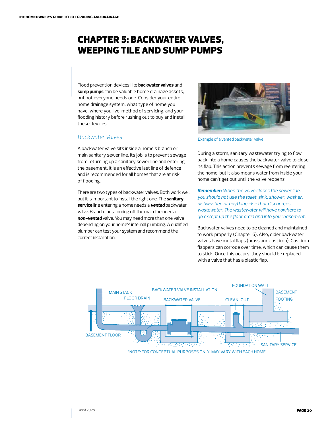Flood prevention devices like **backwater valves** and **sump pumps** can be valuable home drainage assets, but not everyone needs one. Consider your entire home drainage system, what type of home you have, where you live, method of servicing, and your flooding history before rushing out to buy and install these devices.

### *Backwater Valves*

A backwater valve sits inside a home's branch or main sanitary sewer line. Its job is to prevent sewage from returning up a sanitary sewer line and entering the basement. It is an effective last line of defence and is recommended for all homes that are at risk of flooding.

There are two types of backwater valves. Both work well, but it is important to install the right one. The **sanitary service** line entering a home needs a *vented* backwater valve. Branch lines coming off the main line need a *non-vented* valve. You may need more than one valve depending on your home's internal plumbing. A qualified plumber can test your system and recommend the correct installation.



Example of a vented backwater valve

During a storm, sanitary wastewater trying to flow back into a home causes the backwater valve to close its flap. This action prevents sewage from reentering the home, but it also means water from inside your home can't get out until the valve reopens.

*Remember: When the valve closes the sewer line, you should not use the toilet, sink, shower, washer, dishwasher, or anything else that discharges wastewater. The wastewater will have nowhere to go except up the floor drain and into your basement.*

Backwater valves need to be cleaned and maintained to work properly (Chapter 6). Also, older backwater valves have metal flaps (brass and cast iron). Cast iron flappers can corrode over time, which can cause them to stick. Once this occurs, they should be replaced with a valve that has a plastic flap.



\*NOTE: FOR CONCEPTUAL PURPOSES ONLY. MAY VARY WITH EACH HOME.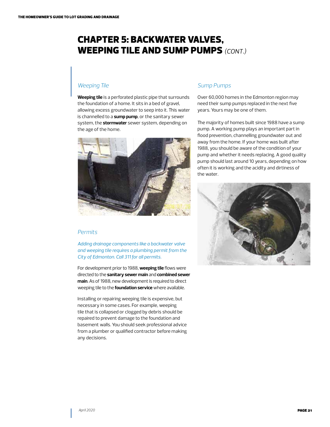### *Weeping Tile*

**Weeping tile** is a perforated plastic pipe that surrounds the foundation of a home. It sits in a bed of gravel, allowing excess groundwater to seep into it. This water is channelled to a **sump pump**, or the sanitary sewer system, the **stormwater** sewer system, depending on the age of the home.



#### *Permits*

*Adding drainage components like a backwater valve and weeping tile requires a plumbing permit from the City of Edmonton. Call 311 for all permits.*

For development prior to 1988, **weeping tile** flows were directed to the **sanitary sewer main** and **combined sewer main**. As of 1988, new development is required to direct weeping tile to the **foundation service** where available.

Installing or repairing weeping tile is expensive, but necessary in some cases. For example, weeping tile that is collapsed or clogged by debris should be repaired to prevent damage to the foundation and basement walls. You should seek professional advice from a plumber or qualified contractor before making any decisions.

### *Sump Pumps*

Over 60,000 homes in the Edmonton region may need their sump pumps replaced in the next five years. Yours may be one of them.

The majority of homes built since 1988 have a sump pump. A working pump plays an important part in flood prevention, channelling groundwater out and away from the home. If your home was built after 1988, you should be aware of the condition of your pump and whether it needs replacing. A good quality pump should last around 10 years, depending on how often it is working and the acidity and dirtiness of the water.

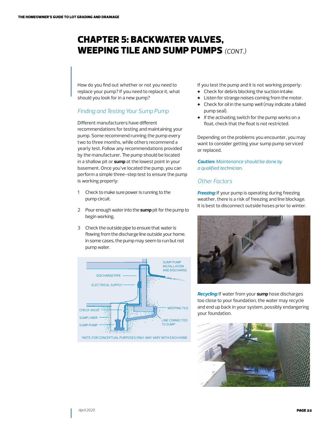How do you find out whether or not you need to replace your pump? If you need to replace it, what should you look for in a new pump?

### *Finding and Testing Your Sump Pump*

Different manufacturers have different recommendations for testing and maintaining your pump. Some recommend running the pump every two to three months, while others recommend a yearly test. Follow any recommendations provided by the manufacturer. The pump should be located in a shallow pit or **sump** at the lowest point in your basement. Once you've located the pump, you can perform a simple three-step test to ensure the pump is working properly:

- 1 Check to make sure power is running to the pump circuit.
- 2 Pour enough water into the **sump** pit for the pump to begin working.
- 3 Check the outside pipe to ensure that water is flowing from the discharge line outside your home. In some cases, the pump may seem to run but not pump water.



If you test the pump and it is not working properly:

- + Check for debris blocking the suction intake.
- + Listen for strange noises coming from the motor.
- + Check for oil in the sump well (may indicate a failed pump seal).
- + If the activating switch for the pump works on a float, check that the float is not restricted.

Depending on the problems you encounter, you may want to consider getting your sump pump serviced or replaced.

*Caution: Maintenance should be done by a qualified technician.*

### *Other Factors*

*Freezing:* If your pump is operating during freezing weather, there is a risk of freezing and line blockage. It is best to disconnect outside hoses prior to winter.



*Recycling:* If water from your **sump** hose discharges too close to your foundation, the water may recycle and end up back in your system, possibly endangering your foundation.

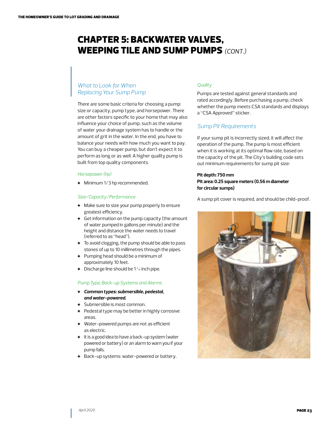### *What to Look for When Replacing Your Sump Pump*

There are some basic criteria for choosing a pump: size or capacity, pump type, and horsepower. There are other factors specific to your home that may also influence your choice of pump, such as the volume of water your drainage system has to handle or the amount of grit in the water. In the end, you have to balance your needs with how much you want to pay. You can buy a cheaper pump, but don't expect it to perform as long or as well. A higher quality pump is built from top quality components.

#### *Horsepower (hp)*

+ Minimum 1/3 hp recommended.

#### *Size/Capacity/Performance*

- + Make sure to size your pump properly to ensure greatest efficiency.
- + Get information on the pump capacity (the amount of water pumped in gallons per minute) and the height and distance the water needs to travel (referred to as "head").
- + To avoid clogging, the pump should be able to pass stones of up to 10 millimetres through the pipes.
- + Pumping head should be a minimum of approximately 10 feet.
- $\bullet$  Discharge line should be 1 $\frac{1}{4}$  inch pipe.

#### *Pump Type, Back-up Systems and Alarms*

- + *Common types: submersible, pedestal, and water-powered.*
- + Submersible is most common.
- + Pedestal type may be better in highly corrosive areas.
- + Water-powered pumps are not as efficient as electric.
- + It is a good idea to have a back-up system (water powered or battery) or an alarm to warn you if your pump fails.
- + Back-up systems: water-powered or battery.

#### *Quality*

Pumps are tested against general standards and rated accordingly. Before purchasing a pump, check whether the pump meets CSA standards and displays a "CSA Approved" sticker.

### *Sump Pit Requirements*

If your sump pit is incorrectly sized, it will affect the operation of the pump. The pump is most efficient when it is working at its optimal flow rate, based on the capacity of the pit. The City's building code sets out minimum requirements for sump pit size:

#### **Pit depth: 750 mm Pit area: 0.25 square meters (0.56 m diameter for circular sumps)**

A sump pit cover is required, and should be child-proof.

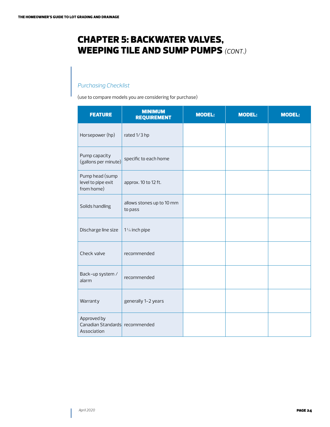### *Purchasing Checklist*

(use to compare models you are considering for purchase)

| <b>FEATURE</b>                                               | <b>MINIMUM</b><br><b>REQUIREMENT</b> | <b>MODEL:</b> | <b>MODEL:</b> | <b>MODEL:</b> |
|--------------------------------------------------------------|--------------------------------------|---------------|---------------|---------------|
| Horsepower (hp)                                              | rated 1/3 hp                         |               |               |               |
| Pump capacity<br>(gallons per minute)                        | specific to each home                |               |               |               |
| Pump head (sump<br>level to pipe exit<br>from home)          | approx. 10 to 12 ft.                 |               |               |               |
| Solids handling                                              | allows stones up to 10 mm<br>to pass |               |               |               |
| Discharge line size                                          | $1\frac{1}{4}$ inch pipe             |               |               |               |
| Check valve                                                  | recommended                          |               |               |               |
| Back-up system /<br>alarm                                    | recommended                          |               |               |               |
| Warranty                                                     | generally 1-2 years                  |               |               |               |
| Approved by<br>Canadian Standards recommended<br>Association |                                      |               |               |               |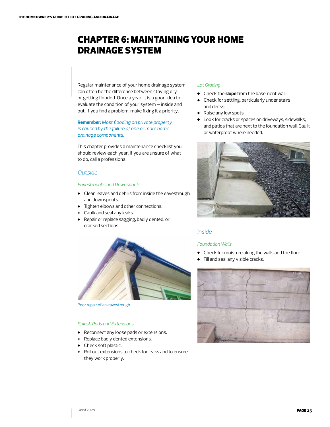# CHAPTER 6: MAINTAINING YOUR HOME DRAINAGE SYSTEM

Regular maintenance of your home drainage system can often be the difference between staying dry or getting flooded. Once a year, it is a good idea to evaluate the condition of your system – inside and out. If you find a problem, make fixing it a priority.

### **Remember:** *Most flooding on private property is caused by the failure of one or more home drainage components.*

This chapter provides a maintenance checklist you should review each year. If you are unsure of what to do, call a professional.

### *Outside*

#### *Eavestroughs and Downspouts*

- + Clean leaves and debris from inside the eavestrough and downspouts.
- + Tighten elbows and other connections.
- + Caulk and seal any leaks.
- + Repair or replace sagging, badly dented, or cracked sections.

#### *Lot Grading*

- + Check the **slope** from the basement wall.
- + Check for settling, particularly under stairs and decks.
- + Raise any low spots.
- + Look for cracks or spaces on driveways, sidewalks, and patios that are next to the foundation wall. Caulk or waterproof where needed.



### *Inside*

#### *Foundation Walls*

- + Check for moisture along the walls and the floor.
- + Fill and seal any visible cracks.





Poor repair of an eavestrough

#### *Splash Pads and Extensions*

- + Reconnect any loose pads or extensions.
- + Replace badly dented extensions.
- + Check soft plastic.
- + Roll out extensions to check for leaks and to ensure they work properly.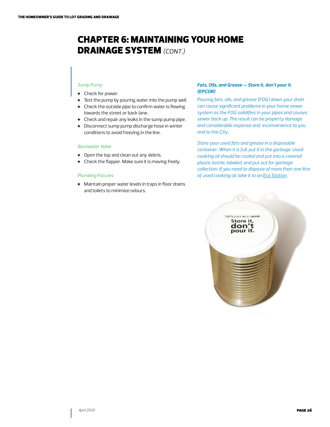# CHAPTER 6: MAINTAINING YOUR HOME DRAINAGE SYSTEM *(CONT.)*

### *Sump Pump*

- + Check for power.
- + Test the pump by pouring water into the pump well.
- + Check the outside pipe to confirm water is flowing towards the street or back lane.
- + Check and repair any leaks in the sump pump pipe.
- + Disconnect sump pump discharge hose in winter conditions to avoid freezing in the line.

#### *Backwater Valve*

- + Open the top and clean out any debris.
- + Check the flapper. Make sure it is moving freely.

### *Plumbing Fixtures*

+ Maintain proper water levels in traps in floor drains and toilets to minimize odours.

#### *Fats, Oils, and Grease — Store it, don't pour it. (EPCOR)*

*Pouring fats, oils, and grease (FOG) down your drain can cause significant problems in your home sewer system as the FOG solidifies in your pipes and causes sewer back up. The result can be property damage and considerable expense and inconvenience to you and to the City.*

*Store your used fats and grease in a disposable container. When it is full, put it in the garbage. Used cooking oil should be cooled and put into a covered plastic bottle, labeled, and put out for garbage collection. If you need to dispose of more than one litre of used cooking oil, take it to an [Eco Station](https://www.edmonton.ca/programs_services/garbage_waste/eco-stations.aspx).*

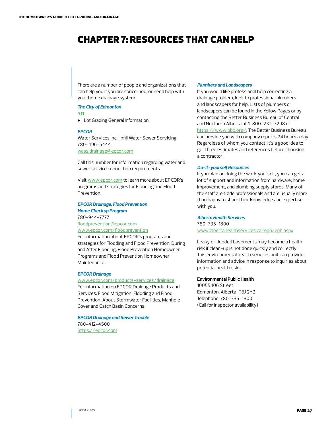# CHAPTER 7: RESOURCES THAT CAN HELP

There are a number of people and organizations that can help you if you are concerned, or need help with your home drainage system.

### *The City of Edmonton*

#### *311*

+ Lot Grading General Information

#### *EPCOR*

Water Services Inc., Infill Water Sewer Servicing 780-496-5444

[wass.drainage@epcor.com](mailto:wass.drainage%40epcor.com?subject=)

Call this number for information regarding water and sewer service connection requirements.

Visit [www.epcor.com](http://www.epcor.com) to learn more about EPCOR's programs and strategies for Flooding and Flood Prevention.

#### *EPCOR Drainage, Flood Prevention Home Checkup Program* 780-944-7777

[floodprevention@epcor.com](mailto:floodprevention%40epcor.com?subject=) [www.epcor.com/floodprevention](https://www.epcor.com/products-services/drainage/flooding-flood-prevention/Pages/default.aspx)

For information about EPCOR's programs and strategies for Flooding and Flood Prevention: During and After Flooding, Flood Prevention Homeowner Programs and Flood Prevention Homeowner Maintenance.

#### *EPCOR Drainage*

[www.epcor.com/products-services/drainage](http://www.epcor.com/products-services/drainage) For information on EPCOR Drainage Products and Services: Flood Mitigation, Flooding and Flood Prevention, About Stormwater Facilities, Manhole Cover and Catch Basin Concerns.

*EPCOR Drainage and Sewer Trouble* 780-412-4500 <https://epcor.com>

#### *Plumbers and Landscapers*

If you would like professional help correcting a drainage problem, look to professional plumbers and landscapers for help. Lists of plumbers or landscapers can be found in the Yellow Pages or by contacting the Better Business Bureau of Central and Northern Alberta at 1-800-232-7298 or <https://www.bbb.org/>. The Better Business Bureau can provide you with company reports 24 hours a day. Regardless of whom you contact, it's a good idea to get three estimates and references before choosing a contractor.

#### *Do-it-yourself Resources*

If you plan on doing the work yourself, you can get a lot of support and information from hardware, home improvement, and plumbing supply stores. Many of the staff are trade professionals and are usually more than happy to share their knowledge and expertise with you.

#### *Alberta Health Services*

780-735-1800 [www.albertahealthservices.ca/eph/eph.aspx](http://www.albertahealthservices.ca/eph/eph.aspx)

Leaky or flooded basements may become a health risk if clean-up is not done quickly and correctly. This environmental health services unit can provide information and advice in response to inquiries about potential health risks.

#### **Environmental Public Health**

10055 106 Street Edmonton, Alberta T5J 2Y2 Telephone: 780-735-1800 (Call for inspector availability)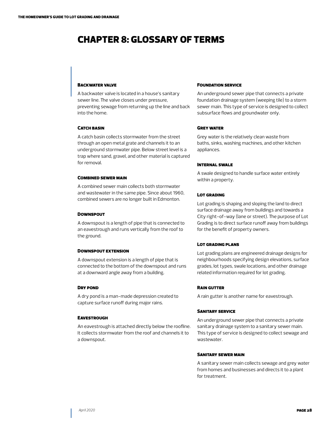# CHAPTER 8: GLOSSARY OF TERMS

#### Backwater valve

A backwater valve is located in a house's sanitary sewer line. The valve closes under pressure, preventing sewage from returning up the line and back into the home.

#### **CATCH BASIN**

A catch basin collects stormwater from the street through an open metal grate and channels it to an underground stormwater pipe. Below street level is a trap where sand, gravel, and other material is captured for removal.

#### Combined sewer main

A combined sewer main collects both stormwater and wastewater in the same pipe. Since about 1960, combined sewers are no longer built in Edmonton.

#### **DOWNSPOUT**

A downspout is a length of pipe that is connected to an eavestrough and runs vertically from the roof to the ground.

#### Downspout extension

A downspout extension is a length of pipe that is connected to the bottom of the downspout and runs at a downward angle away from a building.

#### Dry pond

A dry pond is a man-made depression created to capture surface runoff during major rains.

#### **EAVESTROUGH**

An eavestrough is attached directly below the roofline. It collects stormwater from the roof and channels it to a downspout.

#### Foundation service

An underground sewer pipe that connects a private foundation drainage system (weeping tile) to a storm sewer main. This type of service is designed to collect subsurface flows and groundwater only.

#### Grey water

Grey water is the relatively clean waste from baths, sinks, washing machines, and other kitchen appliances.

#### Internal swale

A swale designed to handle surface water entirely within a property.

#### Lot grading

Lot grading is shaping and sloping the land to direct surface drainage away from buildings and towards a City right-of-way (lane or street). The purpose of Lot Grading is to direct surface runoff away from buildings for the benefit of property owners.

#### Lot grading plans

Lot grading plans are engineered drainage designs for neighbourhoods specifying design elevations, surface grades, lot types, swale locations, and other drainage related information required for lot grading.

#### Rain gutter

A rain gutter is another name for eavestrough.

#### Sanitary service

An underground sewer pipe that connects a private sanitary drainage system to a sanitary sewer main. This type of service is designed to collect sewage and wastewater.

#### Sanitary sewer main

A sanitary sewer main collects sewage and grey water from homes and businesses and directs it to a plant for treatment.